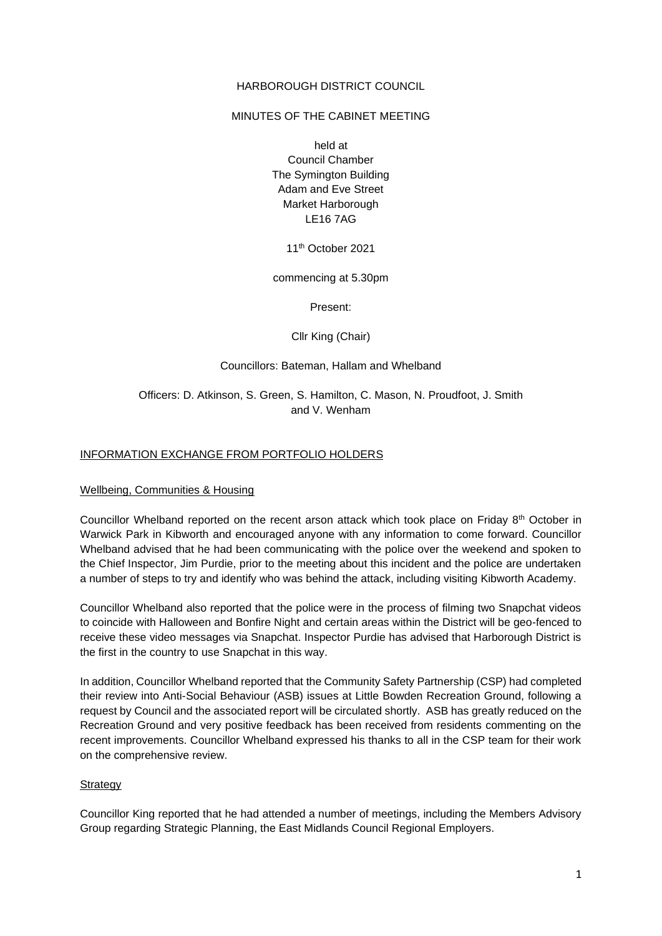### HARBOROUGH DISTRICT COUNCIL

### MINUTES OF THE CABINET MEETING

held at Council Chamber The Symington Building Adam and Eve Street Market Harborough LE16 7AG

11th October 2021

commencing at 5.30pm

Present:

Cllr King (Chair)

### Councillors: Bateman, Hallam and Whelband

# Officers: D. Atkinson, S. Green, S. Hamilton, C. Mason, N. Proudfoot, J. Smith and V. Wenham

### INFORMATION EXCHANGE FROM PORTFOLIO HOLDERS

### Wellbeing, Communities & Housing

Councillor Whelband reported on the recent arson attack which took place on Friday 8th October in Warwick Park in Kibworth and encouraged anyone with any information to come forward. Councillor Whelband advised that he had been communicating with the police over the weekend and spoken to the Chief Inspector, Jim Purdie, prior to the meeting about this incident and the police are undertaken a number of steps to try and identify who was behind the attack, including visiting Kibworth Academy.

Councillor Whelband also reported that the police were in the process of filming two Snapchat videos to coincide with Halloween and Bonfire Night and certain areas within the District will be geo-fenced to receive these video messages via Snapchat. Inspector Purdie has advised that Harborough District is the first in the country to use Snapchat in this way.

In addition, Councillor Whelband reported that the Community Safety Partnership (CSP) had completed their review into Anti-Social Behaviour (ASB) issues at Little Bowden Recreation Ground, following a request by Council and the associated report will be circulated shortly. ASB has greatly reduced on the Recreation Ground and very positive feedback has been received from residents commenting on the recent improvements. Councillor Whelband expressed his thanks to all in the CSP team for their work on the comprehensive review.

### Strategy

Councillor King reported that he had attended a number of meetings, including the Members Advisory Group regarding Strategic Planning, the East Midlands Council Regional Employers.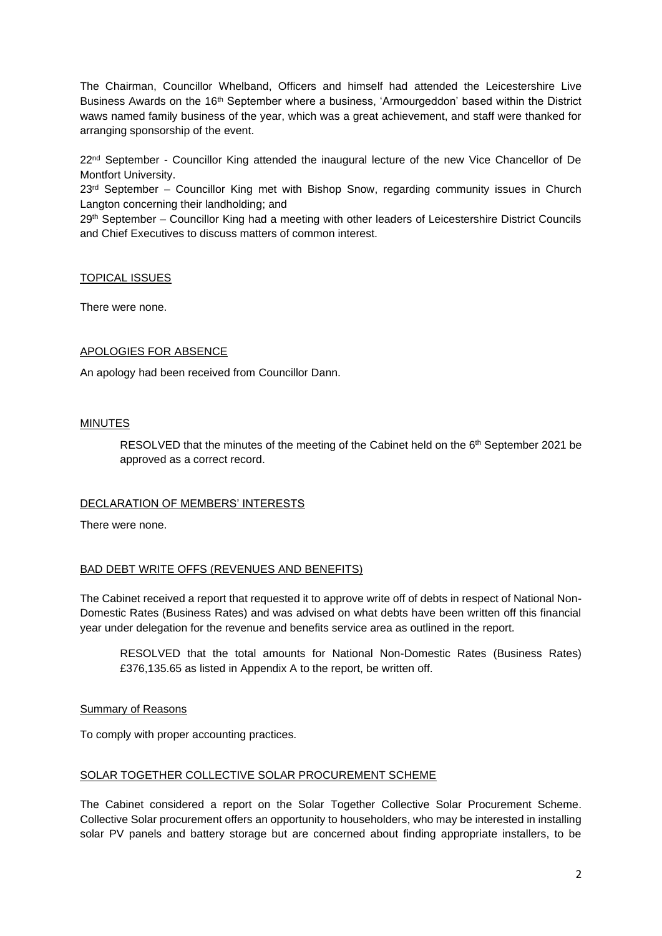The Chairman, Councillor Whelband, Officers and himself had attended the Leicestershire Live Business Awards on the 16th September where a business, 'Armourgeddon' based within the District waws named family business of the year, which was a great achievement, and staff were thanked for arranging sponsorship of the event.

22<sup>nd</sup> September - Councillor King attended the inaugural lecture of the new Vice Chancellor of De Montfort University.

 $23<sup>rd</sup>$  September – Councillor King met with Bishop Snow, regarding community issues in Church Langton concerning their landholding; and

29<sup>th</sup> September – Councillor King had a meeting with other leaders of Leicestershire District Councils and Chief Executives to discuss matters of common interest.

### TOPICAL ISSUES

There were none.

### APOLOGIES FOR ABSENCE

An apology had been received from Councillor Dann.

### MINUTES

RESOLVED that the minutes of the meeting of the Cabinet held on the 6<sup>th</sup> September 2021 be approved as a correct record.

## DECLARATION OF MEMBERS' INTERESTS

There were none.

## BAD DEBT WRITE OFFS (REVENUES AND BENEFITS)

The Cabinet received a report that requested it to approve write off of debts in respect of National Non-Domestic Rates (Business Rates) and was advised on what debts have been written off this financial year under delegation for the revenue and benefits service area as outlined in the report.

RESOLVED that the total amounts for National Non-Domestic Rates (Business Rates) £376,135.65 as listed in Appendix A to the report, be written off.

### Summary of Reasons

To comply with proper accounting practices.

# SOLAR TOGETHER COLLECTIVE SOLAR PROCUREMENT SCHEME

The Cabinet considered a report on the Solar Together Collective Solar Procurement Scheme. Collective Solar procurement offers an opportunity to householders, who may be interested in installing solar PV panels and battery storage but are concerned about finding appropriate installers, to be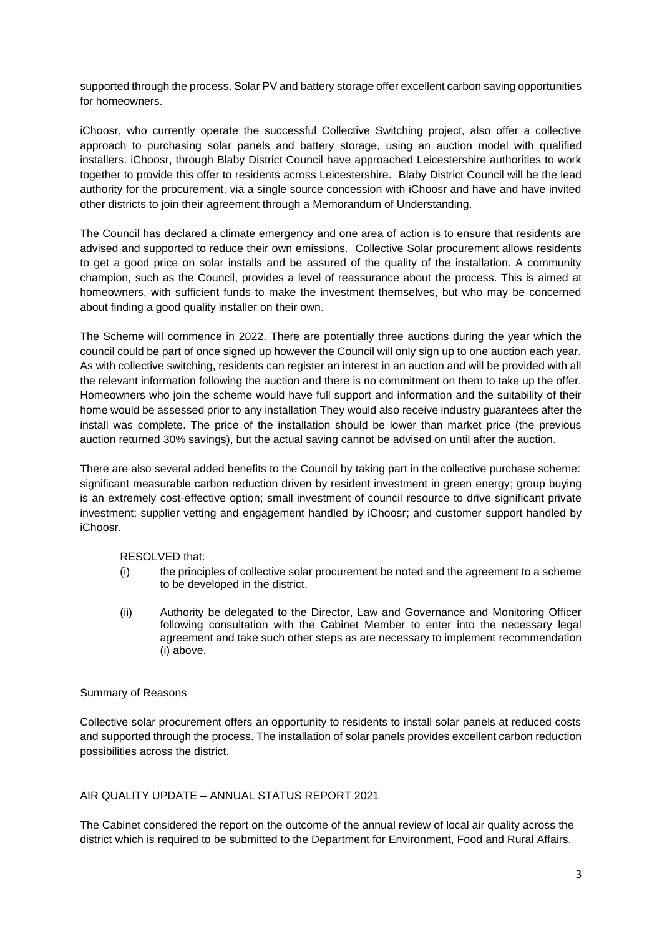supported through the process. Solar PV and battery storage offer excellent carbon saving opportunities for homeowners.

iChoosr, who currently operate the successful Collective Switching project, also offer a collective approach to purchasing solar panels and battery storage, using an auction model with qualified installers. iChoosr, through Blaby District Council have approached Leicestershire authorities to work together to provide this offer to residents across Leicestershire. Blaby District Council will be the lead authority for the procurement, via a single source concession with iChoosr and have and have invited other districts to join their agreement through a Memorandum of Understanding.

The Council has declared a climate emergency and one area of action is to ensure that residents are advised and supported to reduce their own emissions. Collective Solar procurement allows residents to get a good price on solar installs and be assured of the quality of the installation. A community champion, such as the Council, provides a level of reassurance about the process. This is aimed at homeowners, with sufficient funds to make the investment themselves, but who may be concerned about finding a good quality installer on their own.

The Scheme will commence in 2022. There are potentially three auctions during the year which the council could be part of once signed up however the Council will only sign up to one auction each year. As with collective switching, residents can register an interest in an auction and will be provided with all the relevant information following the auction and there is no commitment on them to take up the offer. Homeowners who join the scheme would have full support and information and the suitability of their home would be assessed prior to any installation They would also receive industry guarantees after the install was complete. The price of the installation should be lower than market price (the previous auction returned 30% savings), but the actual saving cannot be advised on until after the auction.

There are also several added benefits to the Council by taking part in the collective purchase scheme: significant measurable carbon reduction driven by resident investment in green energy; group buying is an extremely cost-effective option; small investment of council resource to drive significant private investment; supplier vetting and engagement handled by iChoosr; and customer support handled by iChoosr.

RESOLVED that:

- (i) the principles of collective solar procurement be noted and the agreement to a scheme to be developed in the district.
- (ii) Authority be delegated to the Director, Law and Governance and Monitoring Officer following consultation with the Cabinet Member to enter into the necessary legal agreement and take such other steps as are necessary to implement recommendation (i) above.

## Summary of Reasons

Collective solar procurement offers an opportunity to residents to install solar panels at reduced costs and supported through the process. The installation of solar panels provides excellent carbon reduction possibilities across the district.

## AIR QUALITY UPDATE – ANNUAL STATUS REPORT 2021

The Cabinet considered the report on the outcome of the annual review of local air quality across the district which is required to be submitted to the Department for Environment, Food and Rural Affairs.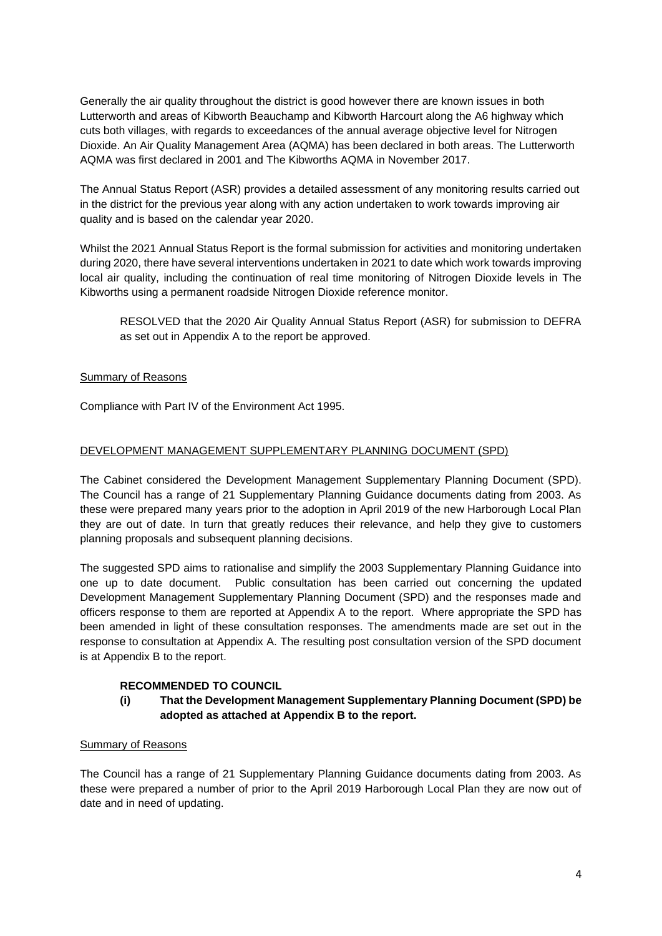Generally the air quality throughout the district is good however there are known issues in both Lutterworth and areas of Kibworth Beauchamp and Kibworth Harcourt along the A6 highway which cuts both villages, with regards to exceedances of the annual average objective level for Nitrogen Dioxide. An Air Quality Management Area (AQMA) has been declared in both areas. The Lutterworth AQMA was first declared in 2001 and The Kibworths AQMA in November 2017.

The Annual Status Report (ASR) provides a detailed assessment of any monitoring results carried out in the district for the previous year along with any action undertaken to work towards improving air quality and is based on the calendar year 2020.

Whilst the 2021 Annual Status Report is the formal submission for activities and monitoring undertaken during 2020, there have several interventions undertaken in 2021 to date which work towards improving local air quality, including the continuation of real time monitoring of Nitrogen Dioxide levels in The Kibworths using a permanent roadside Nitrogen Dioxide reference monitor.

RESOLVED that the 2020 Air Quality Annual Status Report (ASR) for submission to DEFRA as set out in Appendix A to the report be approved.

# Summary of Reasons

Compliance with Part IV of the Environment Act 1995.

# DEVELOPMENT MANAGEMENT SUPPLEMENTARY PLANNING DOCUMENT (SPD)

The Cabinet considered the Development Management Supplementary Planning Document (SPD). The Council has a range of 21 Supplementary Planning Guidance documents dating from 2003. As these were prepared many years prior to the adoption in April 2019 of the new Harborough Local Plan they are out of date. In turn that greatly reduces their relevance, and help they give to customers planning proposals and subsequent planning decisions.

The suggested SPD aims to rationalise and simplify the 2003 Supplementary Planning Guidance into one up to date document. Public consultation has been carried out concerning the updated Development Management Supplementary Planning Document (SPD) and the responses made and officers response to them are reported at Appendix A to the report. Where appropriate the SPD has been amended in light of these consultation responses. The amendments made are set out in the response to consultation at Appendix A. The resulting post consultation version of the SPD document is at Appendix B to the report.

# **RECOMMENDED TO COUNCIL**

# **(i) That the Development Management Supplementary Planning Document (SPD) be adopted as attached at Appendix B to the report.**

## Summary of Reasons

The Council has a range of 21 Supplementary Planning Guidance documents dating from 2003. As these were prepared a number of prior to the April 2019 Harborough Local Plan they are now out of date and in need of updating.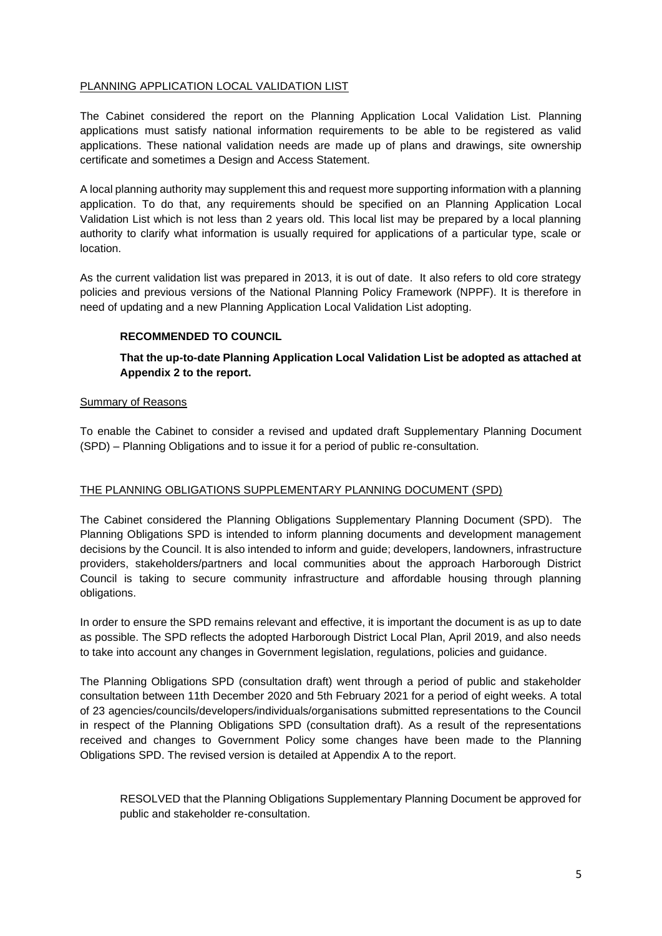## PLANNING APPLICATION LOCAL VALIDATION LIST

The Cabinet considered the report on the Planning Application Local Validation List. Planning applications must satisfy national information requirements to be able to be registered as valid applications. These national validation needs are made up of plans and drawings, site ownership certificate and sometimes a Design and Access Statement.

A local planning authority may supplement this and request more supporting information with a planning application. To do that, any requirements should be specified on an Planning Application Local Validation List which is not less than 2 years old. This local list may be prepared by a local planning authority to clarify what information is usually required for applications of a particular type, scale or location.

As the current validation list was prepared in 2013, it is out of date. It also refers to old core strategy policies and previous versions of the National Planning Policy Framework (NPPF). It is therefore in need of updating and a new Planning Application Local Validation List adopting.

## **RECOMMENDED TO COUNCIL**

**That the up-to-date Planning Application Local Validation List be adopted as attached at Appendix 2 to the report.**

## Summary of Reasons

To enable the Cabinet to consider a revised and updated draft Supplementary Planning Document (SPD) – Planning Obligations and to issue it for a period of public re-consultation.

## THE PLANNING OBLIGATIONS SUPPLEMENTARY PLANNING DOCUMENT (SPD)

The Cabinet considered the Planning Obligations Supplementary Planning Document (SPD). The Planning Obligations SPD is intended to inform planning documents and development management decisions by the Council. It is also intended to inform and guide; developers, landowners, infrastructure providers, stakeholders/partners and local communities about the approach Harborough District Council is taking to secure community infrastructure and affordable housing through planning obligations.

In order to ensure the SPD remains relevant and effective, it is important the document is as up to date as possible. The SPD reflects the adopted Harborough District Local Plan, April 2019, and also needs to take into account any changes in Government legislation, regulations, policies and guidance.

The Planning Obligations SPD (consultation draft) went through a period of public and stakeholder consultation between 11th December 2020 and 5th February 2021 for a period of eight weeks. A total of 23 agencies/councils/developers/individuals/organisations submitted representations to the Council in respect of the Planning Obligations SPD (consultation draft). As a result of the representations received and changes to Government Policy some changes have been made to the Planning Obligations SPD. The revised version is detailed at Appendix A to the report.

RESOLVED that the Planning Obligations Supplementary Planning Document be approved for public and stakeholder re-consultation.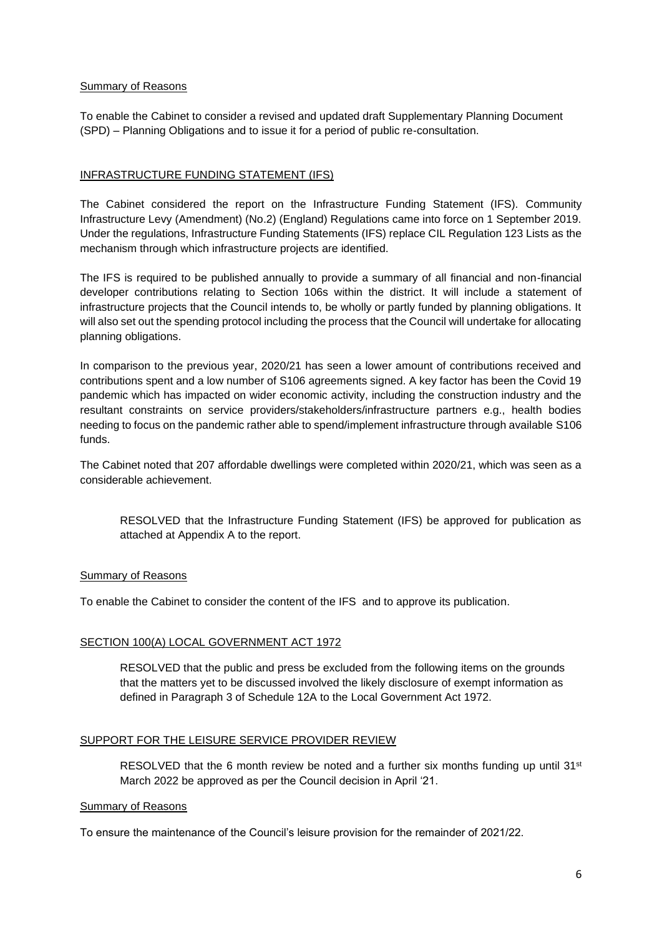### Summary of Reasons

To enable the Cabinet to consider a revised and updated draft Supplementary Planning Document (SPD) – Planning Obligations and to issue it for a period of public re-consultation.

## INFRASTRUCTURE FUNDING STATEMENT (IFS)

The Cabinet considered the report on the Infrastructure Funding Statement (IFS). Community Infrastructure Levy (Amendment) (No.2) (England) Regulations came into force on 1 September 2019. Under the regulations, Infrastructure Funding Statements (IFS) replace CIL Regulation 123 Lists as the mechanism through which infrastructure projects are identified.

The IFS is required to be published annually to provide a summary of all financial and non-financial developer contributions relating to Section 106s within the district. It will include a statement of infrastructure projects that the Council intends to, be wholly or partly funded by planning obligations. It will also set out the spending protocol including the process that the Council will undertake for allocating planning obligations.

In comparison to the previous year, 2020/21 has seen a lower amount of contributions received and contributions spent and a low number of S106 agreements signed. A key factor has been the Covid 19 pandemic which has impacted on wider economic activity, including the construction industry and the resultant constraints on service providers/stakeholders/infrastructure partners e.g., health bodies needing to focus on the pandemic rather able to spend/implement infrastructure through available S106 funds.

The Cabinet noted that 207 affordable dwellings were completed within 2020/21, which was seen as a considerable achievement.

RESOLVED that the Infrastructure Funding Statement (IFS) be approved for publication as attached at Appendix A to the report.

## Summary of Reasons

To enable the Cabinet to consider the content of the IFS and to approve its publication.

## SECTION 100(A) LOCAL GOVERNMENT ACT 1972

RESOLVED that the public and press be excluded from the following items on the grounds that the matters yet to be discussed involved the likely disclosure of exempt information as defined in Paragraph 3 of Schedule 12A to the Local Government Act 1972.

# SUPPORT FOR THE LEISURE SERVICE PROVIDER REVIEW

RESOLVED that the 6 month review be noted and a further six months funding up until  $31<sup>st</sup>$ March 2022 be approved as per the Council decision in April '21.

### Summary of Reasons

To ensure the maintenance of the Council's leisure provision for the remainder of 2021/22.